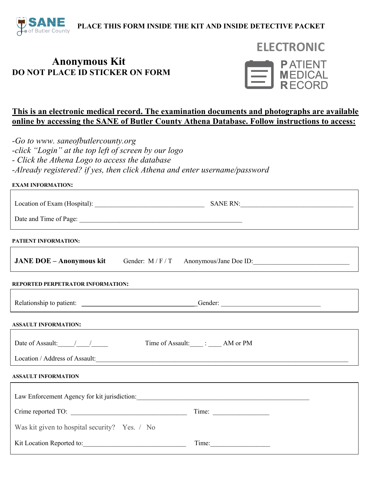**PLACE THIS FORM INSIDE THE KIT AND INSIDE DETECTIVE PACKET**



# **Anonymous Kit DO NOT PLACE ID STICKER ON FORM**



# **This is an electronic medical record. The examination documents and photographs are available online by accessing the SANE of Butler County Athena Database. Follow instructions to access:**

*-Go to www. saneofbutlercounty.org*

*-click "Login" at the top left of screen by our logo*

*- Click the Athena Logo to access the database*

*-Already registered? if yes, then click Athena and enter username/password*

#### **EXAM INFORMATION:**

| Location of Exam (Hospital): | <b>SANE RN:</b> |
|------------------------------|-----------------|
| Date and Time of Page:       |                 |

**PATIENT INFORMATION:**

| <b>JANE DOE - Anonymous kit</b> | Gender: $M/F$ . |  |
|---------------------------------|-----------------|--|
|                                 |                 |  |

 $\mathcal{F}/\mathcal{T}$  Anonymous/Jane Doe ID:

### **REPORTED PERPETRATOR INFORMATION:**

Relationship to patient: \_\_\_\_\_\_\_\_\_\_\_\_\_\_\_\_\_\_\_\_\_\_\_\_\_\_\_\_\_\_\_\_Gender: \_\_\_\_\_\_\_\_\_\_\_\_\_\_\_\_

#### **ASSAULT INFORMATION:**

|--|

Location / Address of Assault:\_\_\_\_\_\_\_\_\_\_\_\_\_\_\_\_\_\_\_\_\_\_\_\_\_\_\_\_\_\_\_\_\_\_\_\_\_\_\_\_\_\_\_\_\_\_\_\_\_\_\_\_\_\_\_\_\_\_\_\_\_\_\_\_\_\_\_\_\_\_\_\_\_\_\_\_

#### **ASSAULT INFORMATION**

| Law Enforcement Agency for kit jurisdiction:  |       |
|-----------------------------------------------|-------|
| Crime reported TO:                            | Time: |
| Was kit given to hospital security? Yes. / No |       |
| Kit Location Reported to:                     | Time: |